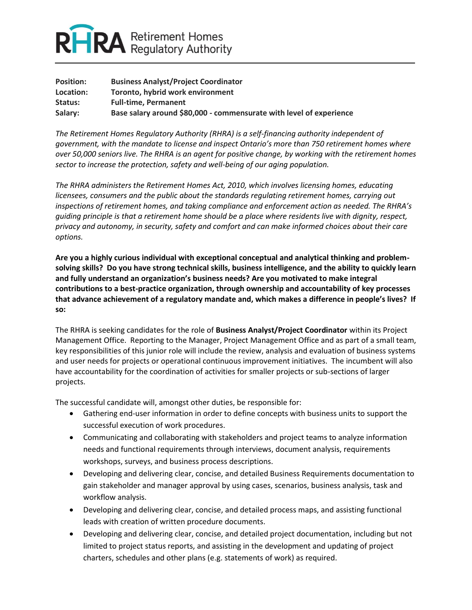

| <b>Position:</b> | <b>Business Analyst/Project Coordinator</b>                         |
|------------------|---------------------------------------------------------------------|
| Location:        | Toronto, hybrid work environment                                    |
| Status:          | <b>Full-time. Permanent</b>                                         |
| Salary:          | Base salary around \$80,000 - commensurate with level of experience |

*The Retirement Homes Regulatory Authority (RHRA) is a self-financing authority independent of government, with the mandate to license and inspect Ontario's more than 750 retirement homes where over 50,000 seniors live. The RHRA is an agent for positive change, by working with the retirement homes sector to increase the protection, safety and well-being of our aging population.*

*The RHRA administers the Retirement Homes Act, 2010, which involves licensing homes, educating licensees, consumers and the public about the standards regulating retirement homes, carrying out inspections of retirement homes, and taking compliance and enforcement action as needed. The RHRA's guiding principle is that a retirement home should be a place where residents live with dignity, respect, privacy and autonomy, in security, safety and comfort and can make informed choices about their care options.* 

**Are you a highly curious individual with exceptional conceptual and analytical thinking and problemsolving skills? Do you have strong technical skills, business intelligence, and the ability to quickly learn and fully understand an organization's business needs? Are you motivated to make integral contributions to a best-practice organization, through ownership and accountability of key processes that advance achievement of a regulatory mandate and, which makes a difference in people's lives? If so:** 

The RHRA is seeking candidates for the role of **Business Analyst/Project Coordinator** within its Project Management Office. Reporting to the Manager, Project Management Office and as part of a small team, key responsibilities of this junior role will include the review, analysis and evaluation of business systems and user needs for projects or operational continuous improvement initiatives. The incumbent will also have accountability for the coordination of activities for smaller projects or sub-sections of larger projects.

The successful candidate will, amongst other duties, be responsible for:

- Gathering end-user information in order to define concepts with business units to support the successful execution of work procedures.
- Communicating and collaborating with stakeholders and project teams to analyze information needs and functional requirements through interviews, document analysis, requirements workshops, surveys, and business process descriptions.
- Developing and delivering clear, concise, and detailed Business Requirements documentation to gain stakeholder and manager approval by using cases, scenarios, business analysis, task and workflow analysis.
- Developing and delivering clear, concise, and detailed process maps, and assisting functional leads with creation of written procedure documents.
- Developing and delivering clear, concise, and detailed project documentation, including but not limited to project status reports, and assisting in the development and updating of project charters, schedules and other plans (e.g. statements of work) as required.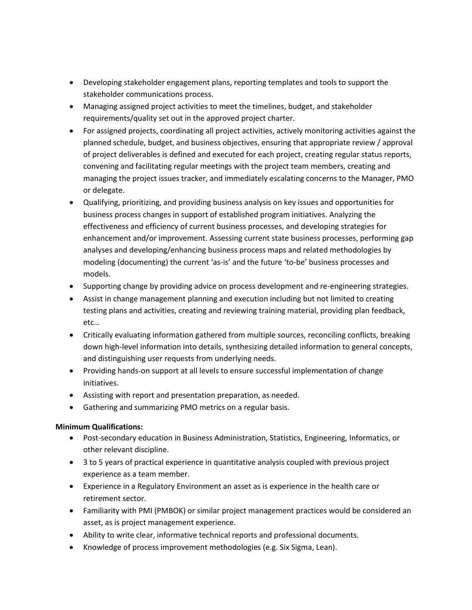- Developing stakeholder engagement plans, reporting templates and tools to support the stakeholder communications process.
- Managing assigned project activities to meet the timelines, budget, and stakeholder requirements/quality set out in the approved project charter.
- For assigned projects, coordinating all project activities, actively monitoring activities against the planned schedule, budget, and business objectives, ensuring that appropriate review / approval of project deliverables is defined and executed for each project, creating regular status reports, convening and facilitating regular meetings with the project team members, creating and managing the project issues tracker, and immediately escalating concerns to the Manager, PMO or delegate.
- Qualifying, prioritizing, and providing business analysis on key issues and opportunities for business process changes in support of established program initiatives. Analyzing the effectiveness and efficiency of current business processes, and developing strategies for enhancement and/or improvement. Assessing current state business processes, performing gap analyses and developing/enhancing business process maps and related methodologies by modeling (documenting) the current 'as-is' and the future 'to-be' business processes and models.
- Supporting change by providing advice on process development and re-engineering strategies.
- Assist in change management planning and execution including but not limited to creating testing plans and activities, creating and reviewing training material, providing plan feedback, etc…
- Critically evaluating information gathered from multiple sources, reconciling conflicts, breaking down high-level information into details, synthesizing detailed information to general concepts, and distinguishing user requests from underlying needs.
- Providing hands-on support at all levels to ensure successful implementation of change initiatives.
- Assisting with report and presentation preparation, as needed.
- Gathering and summarizing PMO metrics on a regular basis.

## **Minimum Qualifications:**

- Post-secondary education in Business Administration, Statistics, Engineering, Informatics, or other relevant discipline.
- 3 to 5 years of practical experience in quantitative analysis coupled with previous project experience as a team member.
- Experience in a Regulatory Environment an asset as is experience in the health care or retirement sector.
- Familiarity with PMI (PMBOK) or similar project management practices would be considered an asset, as is project management experience.
- Ability to write clear, informative technical reports and professional documents.
- Knowledge of process improvement methodologies (e.g. Six Sigma, Lean).